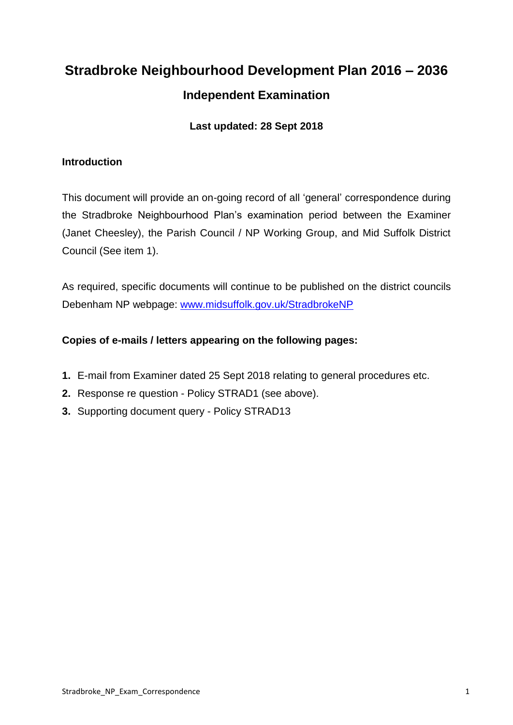# **Stradbroke Neighbourhood Development Plan 2016 – 2036 Independent Examination**

# **Last updated: 28 Sept 2018**

## **Introduction**

This document will provide an on-going record of all 'general' correspondence during the Stradbroke Neighbourhood Plan's examination period between the Examiner (Janet Cheesley), the Parish Council / NP Working Group, and Mid Suffolk District Council (See item 1).

As required, specific documents will continue to be published on the district councils Debenham NP webpage: [www.midsuffolk.gov.uk/StradbrokeNP](http://www.midsuffolk.gov.uk/StradbrokeNP)

# **Copies of e-mails / letters appearing on the following pages:**

- **1.** E-mail from Examiner dated 25 Sept 2018 relating to general procedures etc.
- **2.** Response re question Policy STRAD1 (see above).
- **3.** Supporting document query Policy STRAD13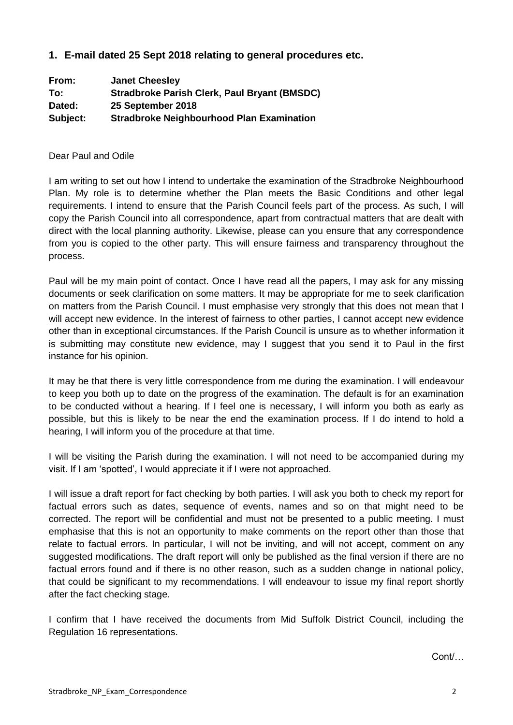## **1. E-mail dated 25 Sept 2018 relating to general procedures etc.**

| From:    | <b>Janet Cheesley</b>                               |
|----------|-----------------------------------------------------|
| To:      | <b>Stradbroke Parish Clerk, Paul Bryant (BMSDC)</b> |
| Dated:   | 25 September 2018                                   |
| Subject: | <b>Stradbroke Neighbourhood Plan Examination</b>    |

#### Dear Paul and Odile

I am writing to set out how I intend to undertake the examination of the Stradbroke Neighbourhood Plan. My role is to determine whether the Plan meets the Basic Conditions and other legal requirements. I intend to ensure that the Parish Council feels part of the process. As such, I will copy the Parish Council into all correspondence, apart from contractual matters that are dealt with direct with the local planning authority. Likewise, please can you ensure that any correspondence from you is copied to the other party. This will ensure fairness and transparency throughout the process.

Paul will be my main point of contact. Once I have read all the papers, I may ask for any missing documents or seek clarification on some matters. It may be appropriate for me to seek clarification on matters from the Parish Council. I must emphasise very strongly that this does not mean that I will accept new evidence. In the interest of fairness to other parties, I cannot accept new evidence other than in exceptional circumstances. If the Parish Council is unsure as to whether information it is submitting may constitute new evidence, may I suggest that you send it to Paul in the first instance for his opinion.

It may be that there is very little correspondence from me during the examination. I will endeavour to keep you both up to date on the progress of the examination. The default is for an examination to be conducted without a hearing. If I feel one is necessary, I will inform you both as early as possible, but this is likely to be near the end the examination process. If I do intend to hold a hearing, I will inform you of the procedure at that time.

I will be visiting the Parish during the examination. I will not need to be accompanied during my visit. If I am 'spotted', I would appreciate it if I were not approached.

I will issue a draft report for fact checking by both parties. I will ask you both to check my report for factual errors such as dates, sequence of events, names and so on that might need to be corrected. The report will be confidential and must not be presented to a public meeting. I must emphasise that this is not an opportunity to make comments on the report other than those that relate to factual errors. In particular, I will not be inviting, and will not accept, comment on any suggested modifications. The draft report will only be published as the final version if there are no factual errors found and if there is no other reason, such as a sudden change in national policy, that could be significant to my recommendations. I will endeavour to issue my final report shortly after the fact checking stage.

I confirm that I have received the documents from Mid Suffolk District Council, including the Regulation 16 representations.

Cont/…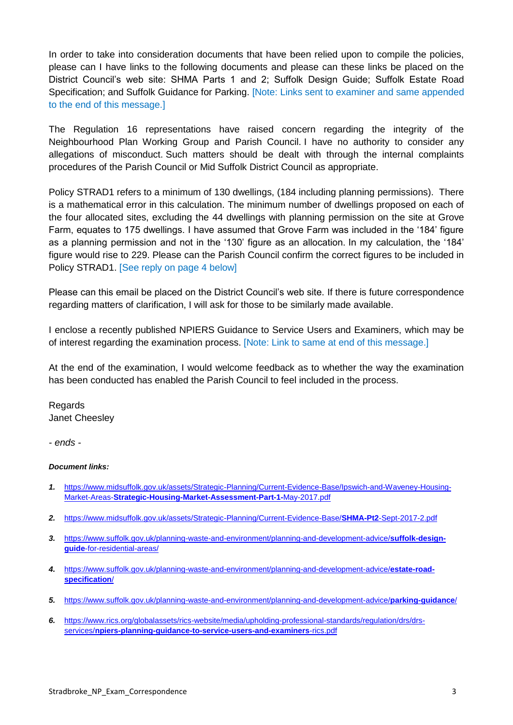In order to take into consideration documents that have been relied upon to compile the policies, please can I have links to the following documents and please can these links be placed on the District Council's web site: SHMA Parts 1 and 2; Suffolk Design Guide; Suffolk Estate Road Specification; and Suffolk Guidance for Parking. [Note: Links sent to examiner and same appended to the end of this message.]

The Regulation 16 representations have raised concern regarding the integrity of the Neighbourhood Plan Working Group and Parish Council. I have no authority to consider any allegations of misconduct. Such matters should be dealt with through the internal complaints procedures of the Parish Council or Mid Suffolk District Council as appropriate.

Policy STRAD1 refers to a minimum of 130 dwellings, (184 including planning permissions). There is a mathematical error in this calculation. The minimum number of dwellings proposed on each of the four allocated sites, excluding the 44 dwellings with planning permission on the site at Grove Farm, equates to 175 dwellings. I have assumed that Grove Farm was included in the '184' figure as a planning permission and not in the '130' figure as an allocation. In my calculation, the '184' figure would rise to 229. Please can the Parish Council confirm the correct figures to be included in Policy STRAD1. [See reply on page 4 below]

Please can this email be placed on the District Council's web site. If there is future correspondence regarding matters of clarification, I will ask for those to be similarly made available.

I enclose a recently published NPIERS Guidance to Service Users and Examiners, which may be of interest regarding the examination process. [Note: Link to same at end of this message.]

At the end of the examination, I would welcome feedback as to whether the way the examination has been conducted has enabled the Parish Council to feel included in the process.

Regards Janet Cheesley

*- ends -*

#### *Document links:*

- *1.* [https://www.midsuffolk.gov.uk/assets/Strategic-Planning/Current-Evidence-Base/Ipswich-and-Waveney-Housing-](https://www.midsuffolk.gov.uk/assets/Strategic-Planning/Current-Evidence-Base/Ipswich-and-Waveney-Housing-Market-Areas-Strategic-Housing-Market-Assessment-Part-1-May-2017.pdf)Market-Areas-**[Strategic-Housing-Market-Assessment-Part-1-](https://www.midsuffolk.gov.uk/assets/Strategic-Planning/Current-Evidence-Base/Ipswich-and-Waveney-Housing-Market-Areas-Strategic-Housing-Market-Assessment-Part-1-May-2017.pdf)**May-2017.pdf
- *2.* [https://www.midsuffolk.gov.uk/assets/Strategic-Planning/Current-Evidence-Base/](https://www.midsuffolk.gov.uk/assets/Strategic-Planning/Current-Evidence-Base/SHMA-Pt2-Sept-2017-2.pdf)**SHMA-Pt2**-Sept-2017-2.pdf
- *3.* [https://www.suffolk.gov.uk/planning-waste-and-environment/planning-and-development-advice/](https://www.suffolk.gov.uk/planning-waste-and-environment/planning-and-development-advice/suffolk-design-guide-for-residential-areas/)**suffolk-designguide**[-for-residential-areas/](https://www.suffolk.gov.uk/planning-waste-and-environment/planning-and-development-advice/suffolk-design-guide-for-residential-areas/)
- *4.* [https://www.suffolk.gov.uk/planning-waste-and-environment/planning-and-development-advice/](https://www.suffolk.gov.uk/planning-waste-and-environment/planning-and-development-advice/estate-road-specification/)**estate-road[specification](https://www.suffolk.gov.uk/planning-waste-and-environment/planning-and-development-advice/estate-road-specification/)**/
- *5.* [https://www.suffolk.gov.uk/planning-waste-and-environment/planning-and-development-advice/](https://www.suffolk.gov.uk/planning-waste-and-environment/planning-and-development-advice/parking-guidance/)**parking-guidance**/
- *6.* [https://www.rics.org/globalassets/rics-website/media/upholding-professional-standards/regulation/drs/drs](https://www.rics.org/globalassets/rics-website/media/upholding-professional-standards/regulation/drs/drs-services/npiers-planning-guidance-to-service-users-and-examiners-rics.pdf)services/**[npiers-planning-guidance-to-service-users-and-examiners](https://www.rics.org/globalassets/rics-website/media/upholding-professional-standards/regulation/drs/drs-services/npiers-planning-guidance-to-service-users-and-examiners-rics.pdf)**-rics.pdf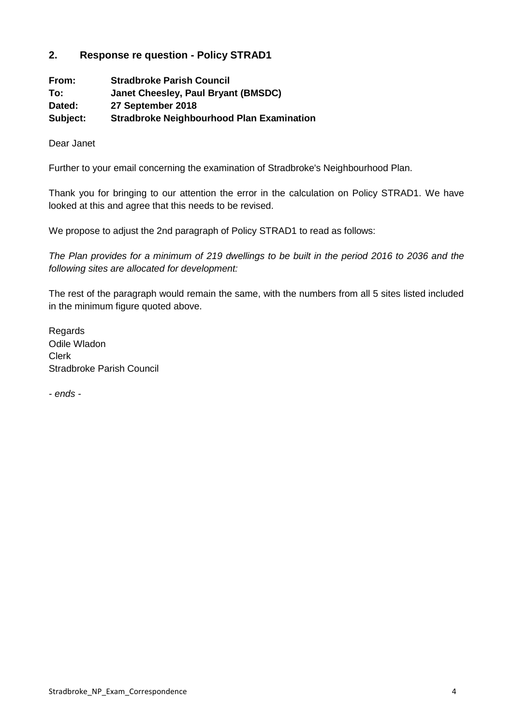## **2. Response re question - Policy STRAD1**

| From:    | <b>Stradbroke Parish Council</b>                 |
|----------|--------------------------------------------------|
| To:      | Janet Cheesley, Paul Bryant (BMSDC)              |
| Dated:   | 27 September 2018                                |
| Subject: | <b>Stradbroke Neighbourhood Plan Examination</b> |

Dear Janet

Further to your email concerning the examination of Stradbroke's Neighbourhood Plan.

Thank you for bringing to our attention the error in the calculation on Policy STRAD1. We have looked at this and agree that this needs to be revised.

We propose to adjust the 2nd paragraph of Policy STRAD1 to read as follows:

*The Plan provides for a minimum of 219 dwellings to be built in the period 2016 to 2036 and the following sites are allocated for development:*

The rest of the paragraph would remain the same, with the numbers from all 5 sites listed included in the minimum figure quoted above.

Regards Odile Wladon Clerk Stradbroke Parish Council

*- ends -*